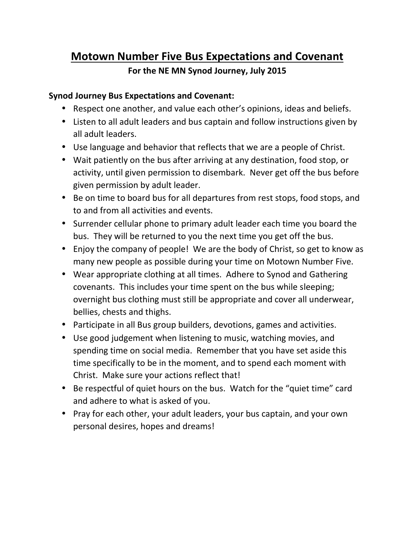# **Motown Number Five Bus Expectations and Covenant**

## **For the NE MN Synod Journey, July 2015**

#### **Synod Journey Bus Expectations and Covenant:**

- Respect one another, and value each other's opinions, ideas and beliefs.
- Listen to all adult leaders and bus captain and follow instructions given by all adult leaders.
- Use language and behavior that reflects that we are a people of Christ.
- Wait patiently on the bus after arriving at any destination, food stop, or activity, until given permission to disembark. Never get off the bus before given permission by adult leader.
- Be on time to board bus for all departures from rest stops, food stops, and to and from all activities and events.
- Surrender cellular phone to primary adult leader each time you board the bus. They will be returned to you the next time you get off the bus.
- Enjoy the company of people! We are the body of Christ, so get to know as many new people as possible during your time on Motown Number Five.
- Wear appropriate clothing at all times. Adhere to Synod and Gathering covenants. This includes your time spent on the bus while sleeping; overnight bus clothing must still be appropriate and cover all underwear, bellies, chests and thighs.
- Participate in all Bus group builders, devotions, games and activities.
- Use good judgement when listening to music, watching movies, and spending time on social media. Remember that you have set aside this time specifically to be in the moment, and to spend each moment with Christ. Make sure your actions reflect that!
- Be respectful of quiet hours on the bus. Watch for the "quiet time" card and adhere to what is asked of you.
- Pray for each other, your adult leaders, your bus captain, and your own personal desires, hopes and dreams!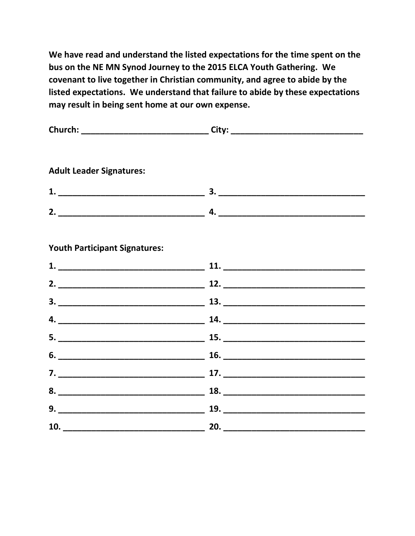**We have read and understand the listed expectations for the time spent on the bus on the NE MN Synod Journey to the 2015 ELCA Youth Gathering. We covenant to live together in Christian community, and agree to abide by the listed expectations. We understand that failure to abide by these expectations may result in being sent home at our own expense.**

| Church:                         | City: |  |
|---------------------------------|-------|--|
|                                 |       |  |
| <b>Adult Leader Signatures:</b> |       |  |
| 1.                              | 3.    |  |
| 2 <sub>1</sub>                  | 4.    |  |

### **Youth Participant Signatures:**